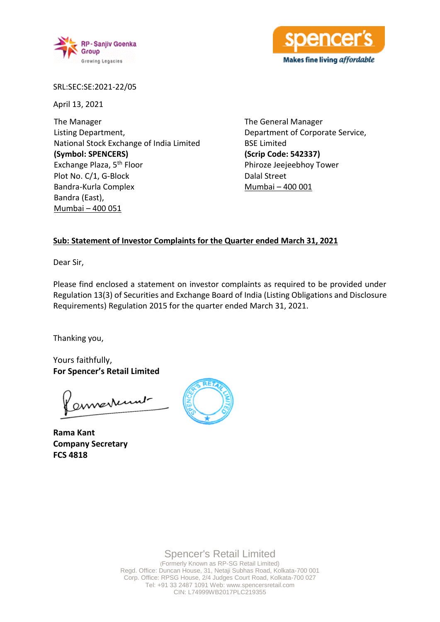



SRL:SEC:SE:2021-22/05

April 13, 2021

The Manager Listing Department, National Stock Exchange of India Limited **(Symbol: SPENCERS)** Exchange Plaza, 5th Floor Plot No. C/1, G-Block Bandra-Kurla Complex Bandra (East), Mumbai – 400 051

The General Manager Department of Corporate Service, BSE Limited **(Scrip Code: 542337)** Phiroze Jeejeebhoy Tower Dalal Street Mumbai – 400 001

### **Sub: Statement of Investor Complaints for the Quarter ended March 31, 2021**

Dear Sir,

Please find enclosed a statement on investor complaints as required to be provided under Regulation 13(3) of Securities and Exchange Board of India (Listing Obligations and Disclosure Requirements) Regulation 2015 for the quarter ended March 31, 2021.

Thanking you,

Yours faithfully, **For Spencer's Retail Limited**

annexum-

**Rama Kant Company Secretary FCS 4818**



Spencer's Retail Limited

(Formerly Known as RP-SG Retail Limited) Regd. Office: Duncan House, 31, Netaji Subhas Road, Kolkata-700 001 Corp. Office: RPSG House, 2/4 Judges Court Road, Kolkata-700 027 Tel: +91 33 2487 1091 Web: www.spencersretail.com CIN: L74999WB2017PLC219355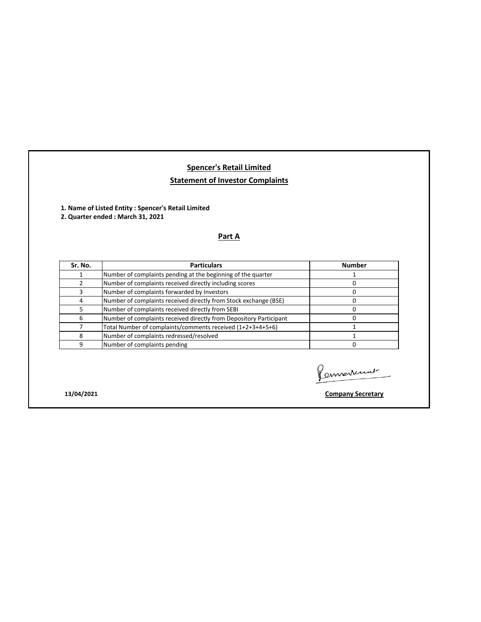# **Spencer's Retail Limited Statement of Investor Complaints**

**1. Name of Listed Entity : Spencer's Retail Limited** 

**2. Quarter ended : March 31, 2021**

### **Part A**

| Sr. No. | <b>Particulars</b>                                                 | <b>Number</b> |
|---------|--------------------------------------------------------------------|---------------|
|         | Number of complaints pending at the beginning of the quarter       |               |
|         | Number of complaints received directly including scores            |               |
|         | Number of complaints forwarded by Investors                        |               |
| 4       | Number of complaints received directly from Stock exchange (BSE)   |               |
|         | Number of complaints received directly from SEBI                   |               |
| 6       | Number of complaints received directly from Depository Participant |               |
|         | Total Number of complaints/comments received (1+2+3+4+5+6)         |               |
| 8       | Number of complaints redressed/resolved                            |               |
| q       | Number of complaints pending                                       |               |

Connertement

**13/04/2021 Company Secretary**